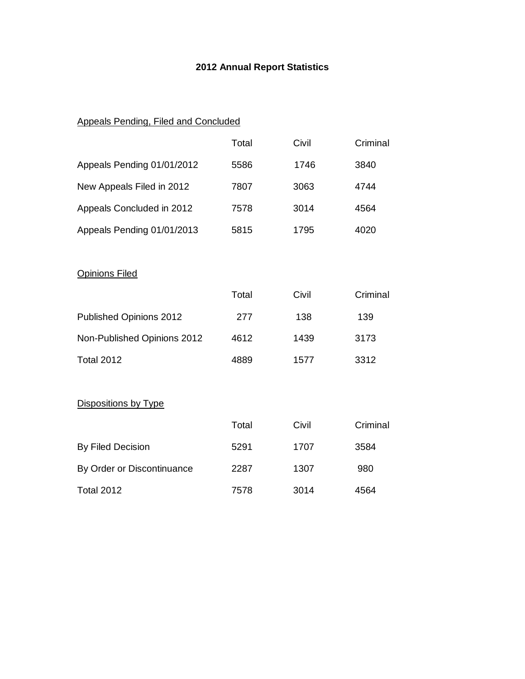## **2012 Annual Report Statistics**

# Appeals Pending, Filed and Concluded

|                             | Total | Civil | Criminal |
|-----------------------------|-------|-------|----------|
| Appeals Pending 01/01/2012  | 5586  | 1746  | 3840     |
| New Appeals Filed in 2012   | 7807  | 3063  | 4744     |
| Appeals Concluded in 2012   | 7578  | 3014  | 4564     |
| Appeals Pending 01/01/2013  | 5815  | 1795  | 4020     |
|                             |       |       |          |
| <b>Opinions Filed</b>       |       |       |          |
|                             | Total | Civil | Criminal |
| Published Opinions 2012     | 277   | 138   | 139      |
| Non-Published Opinions 2012 | 4612  | 1439  | 3173     |
| <b>Total 2012</b>           | 4889  | 1577  | 3312     |
|                             |       |       |          |
| Dispositions by Type        |       |       |          |
|                             | Total | Civil | Criminal |
| By Filed Decision           | 5291  | 1707  | 3584     |
| By Order or Discontinuance  | 2287  | 1307  | 980      |
| <b>Total 2012</b>           | 7578  | 3014  | 4564     |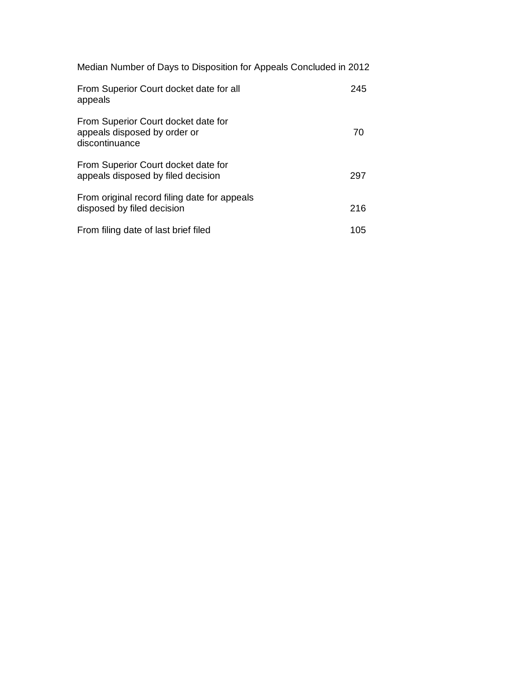| Median Number of Days to Disposition for Appeals Concluded in 2012 |  |  |  |
|--------------------------------------------------------------------|--|--|--|
|--------------------------------------------------------------------|--|--|--|

| From Superior Court docket date for all<br>appeals                                    | 245 |
|---------------------------------------------------------------------------------------|-----|
| From Superior Court docket date for<br>appeals disposed by order or<br>discontinuance | 70  |
| From Superior Court docket date for<br>appeals disposed by filed decision             | 297 |
| From original record filing date for appeals<br>disposed by filed decision            | 216 |
| From filing date of last brief filed                                                  | 105 |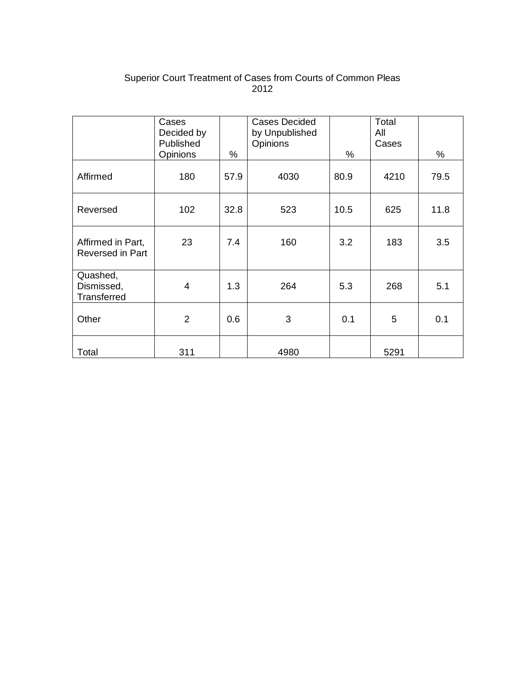## Superior Court Treatment of Cases from Courts of Common Pleas 2012

|                                       | Cases<br>Decided by<br>Published<br>Opinions | $\%$ | <b>Cases Decided</b><br>by Unpublished<br>Opinions | $\%$ | Total<br>All<br>Cases | %    |
|---------------------------------------|----------------------------------------------|------|----------------------------------------------------|------|-----------------------|------|
| Affirmed                              | 180                                          | 57.9 | 4030                                               | 80.9 | 4210                  | 79.5 |
| Reversed                              | 102                                          | 32.8 | 523                                                | 10.5 | 625                   | 11.8 |
| Affirmed in Part,<br>Reversed in Part | 23                                           | 7.4  | 160                                                | 3.2  | 183                   | 3.5  |
| Quashed,<br>Dismissed,<br>Transferred | 4                                            | 1.3  | 264                                                | 5.3  | 268                   | 5.1  |
| Other                                 | $\overline{2}$                               | 0.6  | 3                                                  | 0.1  | 5                     | 0.1  |
| Total                                 | 311                                          |      | 4980                                               |      | 5291                  |      |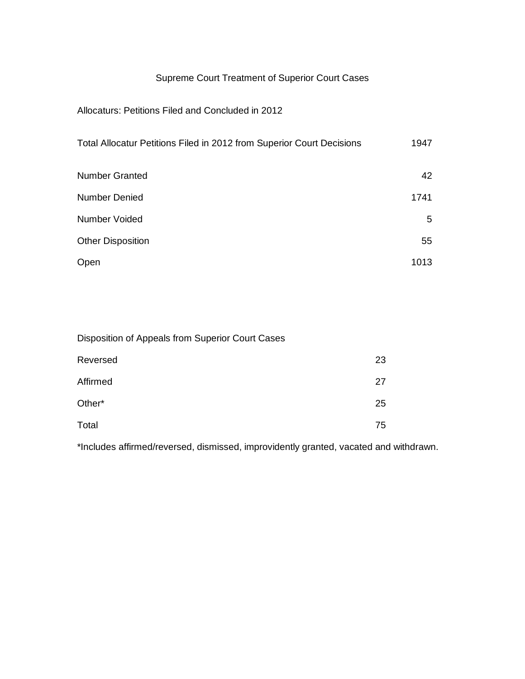## Supreme Court Treatment of Superior Court Cases

### Allocaturs: Petitions Filed and Concluded in 2012

| Total Allocatur Petitions Filed in 2012 from Superior Court Decisions | 1947 |
|-----------------------------------------------------------------------|------|
| <b>Number Granted</b>                                                 | 42   |
| <b>Number Denied</b>                                                  | 1741 |
| Number Voided                                                         | 5    |
| <b>Other Disposition</b>                                              | 55   |
| Open                                                                  | 1013 |

Disposition of Appeals from Superior Court Cases

| Reversed | 23 |
|----------|----|
| Affirmed | 27 |
| Other*   | 25 |
| Total    | 75 |

\*Includes affirmed/reversed, dismissed, improvidently granted, vacated and withdrawn.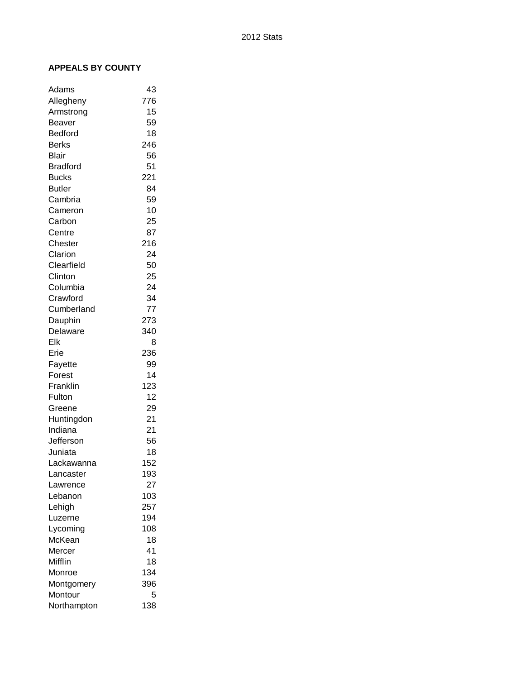#### **APPEALS BY COUNTY**

| Adams           | 43  |
|-----------------|-----|
| Allegheny       | 776 |
| Armstrong       | 15  |
| Beaver          | 59  |
| <b>Bedford</b>  | 18  |
| Berks           | 246 |
| Blair           | 56  |
| <b>Bradford</b> | 51  |
| <b>Bucks</b>    | 221 |
| <b>Butler</b>   | 84  |
| Cambria         | 59  |
| Cameron         | 10  |
| Carbon          | 25  |
| Centre          | 87  |
| Chester         | 216 |
| Clarion         | 24  |
| Clearfield      | 50  |
| Clinton         | 25  |
| Columbia        | 24  |
| Crawford        | 34  |
| Cumberland      | 77  |
| Dauphin         | 273 |
| Delaware        | 340 |
| Elk             | 8   |
| Erie            | 236 |
| Fayette         | 99  |
| Forest          | 14  |
| Franklin        | 123 |
| Fulton          | 12  |
| Greene          | 29  |
| Huntingdon      | 21  |
| Indiana         | 21  |
| Jefferson       | 56  |
| Juniata         | 18  |
| Lackawanna      | 152 |
| Lancaster       | 193 |
| Lawrence        | 27  |
| Lebanon         | 103 |
| Lehigh          | 257 |
| Luzerne         | 194 |
| Lycoming        | 108 |
| McKean          | 18  |
| Mercer          | 41  |
| Mifflin         | 18  |
| Monroe          | 134 |
| Montgomery      | 396 |
| Montour         | 5   |
| Northampton     | 138 |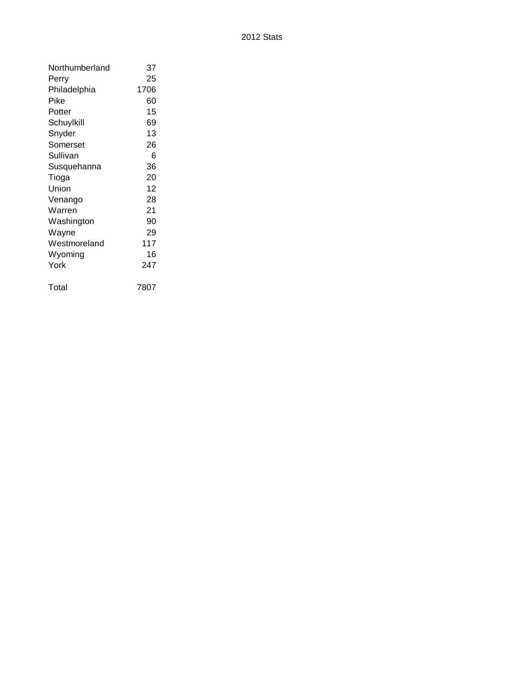| Northumberland | 37   |
|----------------|------|
| Perry          | 25   |
| Philadelphia   | 1706 |
| Pike           | 60   |
| Potter         | 15   |
| Schuylkill     | 69   |
| Snyder         | 13   |
| Somerset       | 26   |
| Sullivan       | 6    |
| Susquehanna    | 36   |
| Tioga          | 20   |
| Union          | 12   |
| Venango        | 28   |
| Warren         | 21   |
| Washington     | 90   |
| Wayne          | 29   |
| Westmoreland   | 117  |
| Wyoming        | 16   |
| York           | 247  |
| Total          | 7807 |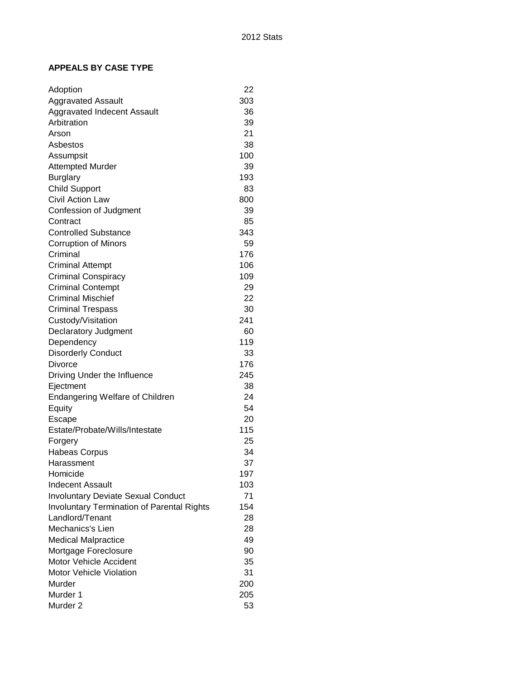#### **APPEALS BY CASE TYPE**

| Adoption                                          | 22  |
|---------------------------------------------------|-----|
| <b>Aggravated Assault</b>                         | 303 |
| <b>Aggravated Indecent Assault</b>                | 36  |
| Arbitration                                       | 39  |
| Arson                                             | 21  |
| Asbestos                                          | 38  |
| Assumpsit                                         | 100 |
| <b>Attempted Murder</b>                           | 39  |
| <b>Burglary</b>                                   | 193 |
| <b>Child Support</b>                              | 83  |
| <b>Civil Action Law</b>                           | 800 |
| Confession of Judgment                            | 39  |
| Contract                                          | 85  |
| <b>Controlled Substance</b>                       | 343 |
| <b>Corruption of Minors</b>                       | 59  |
| Criminal                                          | 176 |
| <b>Criminal Attempt</b>                           | 106 |
| <b>Criminal Conspiracy</b>                        | 109 |
| <b>Criminal Contempt</b>                          | 29  |
| <b>Criminal Mischief</b>                          | 22  |
| <b>Criminal Trespass</b>                          | 30  |
| Custody/Visitation                                | 241 |
| Declaratory Judgment                              | 60  |
| Dependency                                        | 119 |
| <b>Disorderly Conduct</b>                         | 33  |
| Divorce                                           | 176 |
| Driving Under the Influence                       | 245 |
| Ejectment                                         | 38  |
| <b>Endangering Welfare of Children</b>            | 24  |
| Equity                                            | 54  |
| Escape                                            | 20  |
| Estate/Probate/Wills/Intestate                    | 115 |
| Forgery                                           | 25  |
| <b>Habeas Corpus</b>                              | 34  |
| Harassment                                        | 37  |
| Homicide                                          | 197 |
| <b>Indecent Assault</b>                           | 103 |
| <b>Involuntary Deviate Sexual Conduct</b>         | 71  |
| <b>Involuntary Termination of Parental Rights</b> | 154 |
| Landlord/Tenant                                   | 28  |
| Mechanics's Lien                                  | 28  |
| <b>Medical Malpractice</b>                        | 49  |
| Mortgage Foreclosure                              | 90  |
| Motor Vehicle Accident                            | 35  |
| Motor Vehicle Violation                           | 31  |
| Murder                                            | 200 |
| Murder 1                                          | 205 |
| Murder <sub>2</sub>                               | 53  |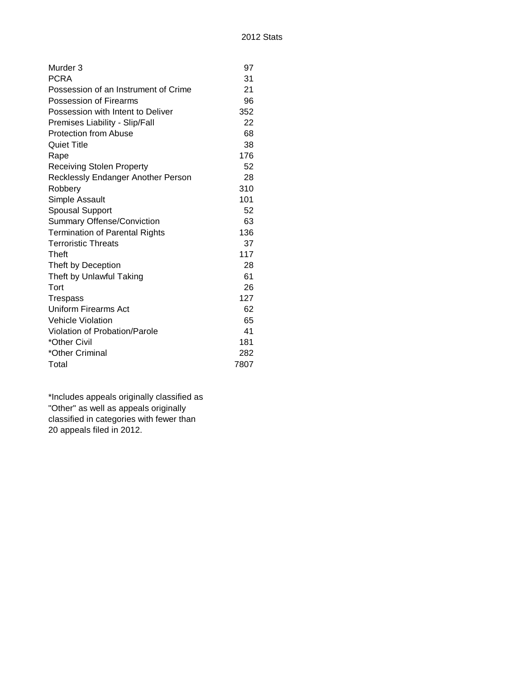| Murder <sub>3</sub>                   | 97   |
|---------------------------------------|------|
| <b>PCRA</b>                           | 31   |
| Possession of an Instrument of Crime  | 21   |
| Possession of Firearms                | 96   |
| Possession with Intent to Deliver     | 352  |
| Premises Liability - Slip/Fall        | 22   |
| <b>Protection from Abuse</b>          | 68   |
| <b>Quiet Title</b>                    | 38   |
| Rape                                  | 176  |
| <b>Receiving Stolen Property</b>      | 52   |
| Recklessly Endanger Another Person    | 28   |
| Robbery                               | 310  |
| Simple Assault                        | 101  |
| <b>Spousal Support</b>                | 52   |
| Summary Offense/Conviction            | 63   |
| <b>Termination of Parental Rights</b> | 136  |
| <b>Terroristic Threats</b>            | 37   |
| Theft                                 | 117  |
| Theft by Deception                    | 28   |
| Theft by Unlawful Taking              | 61   |
| Tort                                  | 26   |
| <b>Trespass</b>                       | 127  |
| Uniform Firearms Act                  | 62   |
| <b>Vehicle Violation</b>              | 65   |
| Violation of Probation/Parole         | 41   |
| *Other Civil                          | 181  |
| *Other Criminal                       | 282  |
| Total                                 | 7807 |

\*Includes appeals originally classified as "Other" as well as appeals originally classified in categories with fewer than 20 appeals filed in 2012.